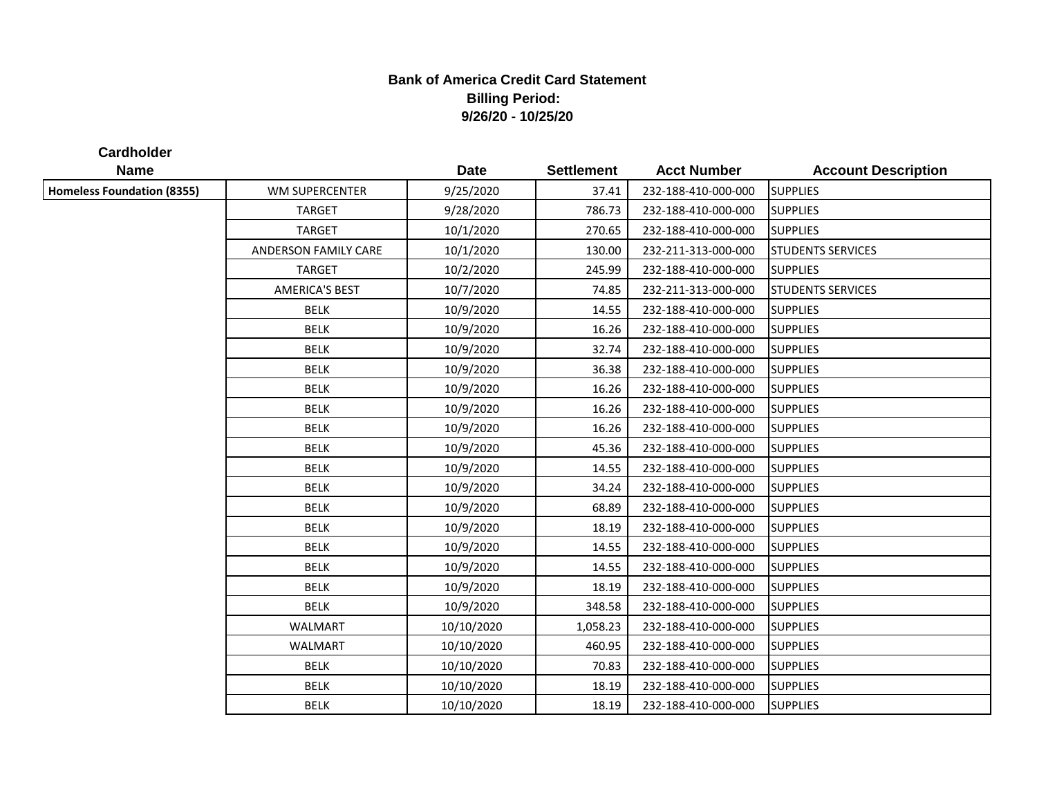## **Bank of America Credit Card Statement Billing Period: 9/26/20 - 10/25/20**

**Cardholder**

| <b>Name</b>                       |                       | <b>Date</b> | <b>Settlement</b> | <b>Acct Number</b>  | <b>Account Description</b> |
|-----------------------------------|-----------------------|-------------|-------------------|---------------------|----------------------------|
| <b>Homeless Foundation (8355)</b> | WM SUPERCENTER        | 9/25/2020   | 37.41             | 232-188-410-000-000 | <b>SUPPLIES</b>            |
|                                   | <b>TARGET</b>         | 9/28/2020   | 786.73            | 232-188-410-000-000 | <b>SUPPLIES</b>            |
|                                   | <b>TARGET</b>         | 10/1/2020   | 270.65            | 232-188-410-000-000 | <b>SUPPLIES</b>            |
|                                   | ANDERSON FAMILY CARE  | 10/1/2020   | 130.00            | 232-211-313-000-000 | <b>STUDENTS SERVICES</b>   |
|                                   | <b>TARGET</b>         | 10/2/2020   | 245.99            | 232-188-410-000-000 | <b>SUPPLIES</b>            |
|                                   | <b>AMERICA'S BEST</b> | 10/7/2020   | 74.85             | 232-211-313-000-000 | <b>STUDENTS SERVICES</b>   |
|                                   | <b>BELK</b>           | 10/9/2020   | 14.55             | 232-188-410-000-000 | <b>SUPPLIES</b>            |
|                                   | <b>BELK</b>           | 10/9/2020   | 16.26             | 232-188-410-000-000 | <b>SUPPLIES</b>            |
|                                   | <b>BELK</b>           | 10/9/2020   | 32.74             | 232-188-410-000-000 | <b>SUPPLIES</b>            |
|                                   | <b>BELK</b>           | 10/9/2020   | 36.38             | 232-188-410-000-000 | <b>SUPPLIES</b>            |
|                                   | <b>BELK</b>           | 10/9/2020   | 16.26             | 232-188-410-000-000 | <b>SUPPLIES</b>            |
|                                   | <b>BELK</b>           | 10/9/2020   | 16.26             | 232-188-410-000-000 | <b>SUPPLIES</b>            |
|                                   | <b>BELK</b>           | 10/9/2020   | 16.26             | 232-188-410-000-000 | <b>SUPPLIES</b>            |
|                                   | <b>BELK</b>           | 10/9/2020   | 45.36             | 232-188-410-000-000 | <b>SUPPLIES</b>            |
|                                   | <b>BELK</b>           | 10/9/2020   | 14.55             | 232-188-410-000-000 | <b>SUPPLIES</b>            |
|                                   | <b>BELK</b>           | 10/9/2020   | 34.24             | 232-188-410-000-000 | <b>SUPPLIES</b>            |
|                                   | <b>BELK</b>           | 10/9/2020   | 68.89             | 232-188-410-000-000 | <b>SUPPLIES</b>            |
|                                   | <b>BELK</b>           | 10/9/2020   | 18.19             | 232-188-410-000-000 | <b>SUPPLIES</b>            |
|                                   | <b>BELK</b>           | 10/9/2020   | 14.55             | 232-188-410-000-000 | <b>SUPPLIES</b>            |
|                                   | <b>BELK</b>           | 10/9/2020   | 14.55             | 232-188-410-000-000 | <b>SUPPLIES</b>            |
|                                   | <b>BELK</b>           | 10/9/2020   | 18.19             | 232-188-410-000-000 | <b>SUPPLIES</b>            |
|                                   | <b>BELK</b>           | 10/9/2020   | 348.58            | 232-188-410-000-000 | <b>SUPPLIES</b>            |
|                                   | <b>WALMART</b>        | 10/10/2020  | 1,058.23          | 232-188-410-000-000 | <b>SUPPLIES</b>            |
|                                   | WALMART               | 10/10/2020  | 460.95            | 232-188-410-000-000 | <b>SUPPLIES</b>            |
|                                   | <b>BELK</b>           | 10/10/2020  | 70.83             | 232-188-410-000-000 | <b>SUPPLIES</b>            |
|                                   | <b>BELK</b>           | 10/10/2020  | 18.19             | 232-188-410-000-000 | <b>SUPPLIES</b>            |
|                                   | <b>BELK</b>           | 10/10/2020  | 18.19             | 232-188-410-000-000 | <b>SUPPLIES</b>            |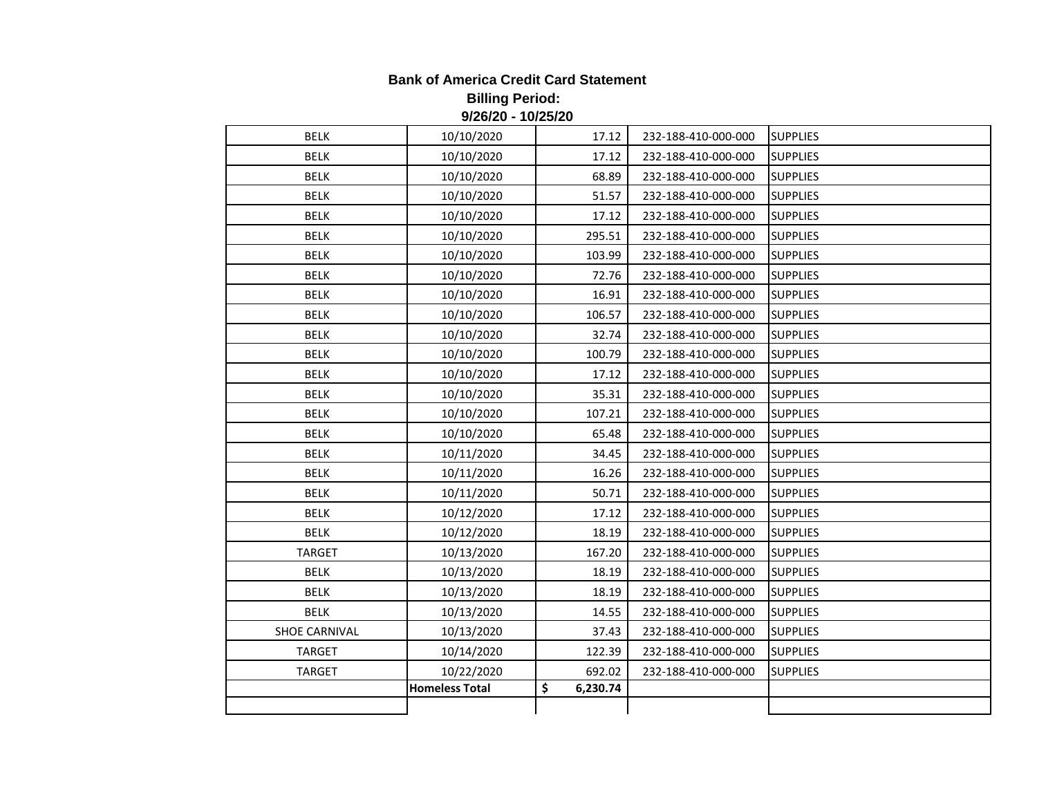## **Bank of America Credit Card Statement Billing Period: 9/26/20 - 10/25/20**

| <b>BELK</b>          | 10/10/2020            | 17.12          | 232-188-410-000-000 | <b>SUPPLIES</b> |
|----------------------|-----------------------|----------------|---------------------|-----------------|
| <b>BELK</b>          | 10/10/2020            | 17.12          | 232-188-410-000-000 | <b>SUPPLIES</b> |
| <b>BELK</b>          | 10/10/2020            | 68.89          | 232-188-410-000-000 | <b>SUPPLIES</b> |
| <b>BELK</b>          | 10/10/2020            | 51.57          | 232-188-410-000-000 | <b>SUPPLIES</b> |
| <b>BELK</b>          | 10/10/2020            | 17.12          | 232-188-410-000-000 | <b>SUPPLIES</b> |
| <b>BELK</b>          | 10/10/2020            | 295.51         | 232-188-410-000-000 | <b>SUPPLIES</b> |
| <b>BELK</b>          | 10/10/2020            | 103.99         | 232-188-410-000-000 | <b>SUPPLIES</b> |
| <b>BELK</b>          | 10/10/2020            | 72.76          | 232-188-410-000-000 | <b>SUPPLIES</b> |
| <b>BELK</b>          | 10/10/2020            | 16.91          | 232-188-410-000-000 | <b>SUPPLIES</b> |
| <b>BELK</b>          | 10/10/2020            | 106.57         | 232-188-410-000-000 | <b>SUPPLIES</b> |
| <b>BELK</b>          | 10/10/2020            | 32.74          | 232-188-410-000-000 | <b>SUPPLIES</b> |
| <b>BELK</b>          | 10/10/2020            | 100.79         | 232-188-410-000-000 | <b>SUPPLIES</b> |
| <b>BELK</b>          | 10/10/2020            | 17.12          | 232-188-410-000-000 | <b>SUPPLIES</b> |
| <b>BELK</b>          | 10/10/2020            | 35.31          | 232-188-410-000-000 | <b>SUPPLIES</b> |
| <b>BELK</b>          | 10/10/2020            | 107.21         | 232-188-410-000-000 | <b>SUPPLIES</b> |
| <b>BELK</b>          | 10/10/2020            | 65.48          | 232-188-410-000-000 | <b>SUPPLIES</b> |
| <b>BELK</b>          | 10/11/2020            | 34.45          | 232-188-410-000-000 | <b>SUPPLIES</b> |
| <b>BELK</b>          | 10/11/2020            | 16.26          | 232-188-410-000-000 | <b>SUPPLIES</b> |
| <b>BELK</b>          | 10/11/2020            | 50.71          | 232-188-410-000-000 | <b>SUPPLIES</b> |
| <b>BELK</b>          | 10/12/2020            | 17.12          | 232-188-410-000-000 | <b>SUPPLIES</b> |
| <b>BELK</b>          | 10/12/2020            | 18.19          | 232-188-410-000-000 | <b>SUPPLIES</b> |
| <b>TARGET</b>        | 10/13/2020            | 167.20         | 232-188-410-000-000 | <b>SUPPLIES</b> |
| <b>BELK</b>          | 10/13/2020            | 18.19          | 232-188-410-000-000 | <b>SUPPLIES</b> |
| <b>BELK</b>          | 10/13/2020            | 18.19          | 232-188-410-000-000 | <b>SUPPLIES</b> |
| <b>BELK</b>          | 10/13/2020            | 14.55          | 232-188-410-000-000 | <b>SUPPLIES</b> |
| <b>SHOE CARNIVAL</b> | 10/13/2020            | 37.43          | 232-188-410-000-000 | <b>SUPPLIES</b> |
| <b>TARGET</b>        | 10/14/2020            | 122.39         | 232-188-410-000-000 | <b>SUPPLIES</b> |
| <b>TARGET</b>        | 10/22/2020            | 692.02         | 232-188-410-000-000 | <b>SUPPLIES</b> |
|                      | <b>Homeless Total</b> | \$<br>6,230.74 |                     |                 |
|                      |                       |                |                     |                 |